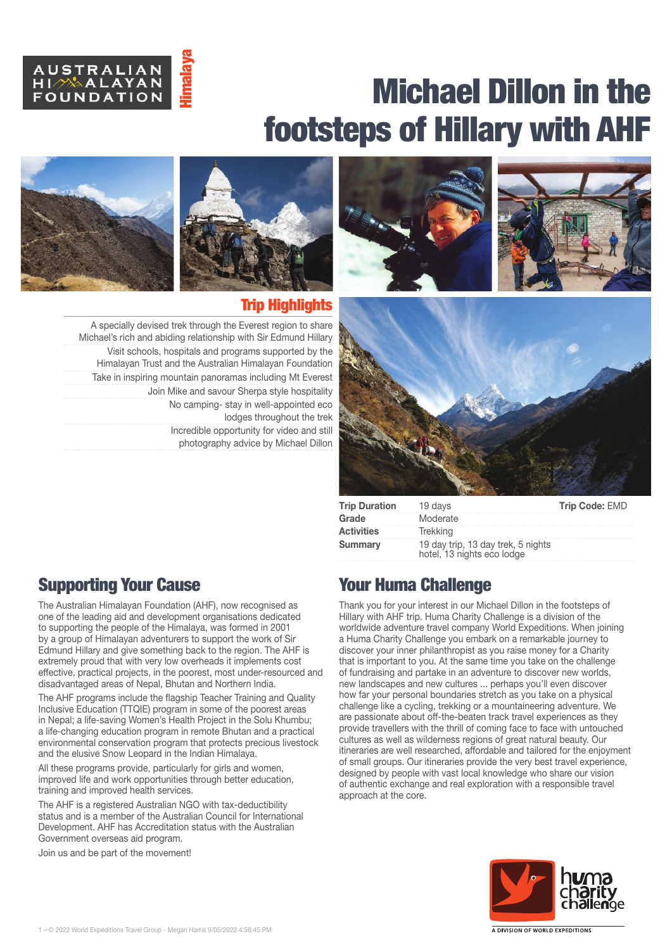



Trip Highlights

lodges throughout the trek

A specially devised trek through the Everest region to share Michael's rich and abiding relationship with Sir Edmund Hillary Visit schools, hospitals and programs supported by the Himalayan Trust and the Australian Himalayan Foundation Take in inspiring mountain panoramas including Mt Everest

> Join Mike and savour Sherpa style hospitality No camping‑ stay in well‑appointed eco

> > Incredible opportunity for video and still photography advice by Michael Dillon







| <b>Trip Duration</b> 19 days |                                                                  | Trip Code: EMD |
|------------------------------|------------------------------------------------------------------|----------------|
| Grade                        | Moderate                                                         |                |
| Activities                   | Trekkina                                                         |                |
| Summary                      | 19 day trip, 13 day trek, 5 nights<br>hotel, 13 nights eco lodge |                |



The Australian Himalayan Foundation (AHF), now recognised as one of the leading aid and development organisations dedicated to supporting the people of the Himalaya, was formed in 2001 by a group of Himalayan adventurers to support the work of Sir Edmund Hillary and give something back to the region. The AHF is extremely proud that with very low overheads it implements cost effective, practical projects, in the poorest, most under-resourced and disadvantaged areas of Nepal, Bhutan and Northern India. **SUBMONT ANTIC SET AND A LATA ANTIC SUBMONT AND SUBMONT COUNDATION FOR A SPECIAL SPECIAL AND THE MUSIC SUBMONT THAN THE MOVEM THAN THE MOVEM THAN THE MOVEM THAN THE MOVEM THAN THE MOVEM OF THE MANUFACT ON THE MUSIC SUBMONT** 

The AHF programs include the flagship Teacher Training and Quality Inclusive Education (TTQIE) program in some of the poorest areas in Nepal; a life-saving Women's Health Project in the Solu Khumbu; a life‑changing education program in remote Bhutan and a practical environmental conservation program that protects precious livestock and the elusive Snow Leopard in the Indian Himalaya.

All these programs provide, particularly for girls and women, improved life and work opportunities through better education, training and improved health services.

The AHF is a registered Australian NGO with tax-deductibility status and is a member of the Australian Council for International Development. AHF has Accreditation status with the Australian Government overseas aid program.

Join us and be part of the movement!

## Your Huma Challenge

Thank you for your interest in our Michael Dillon in the footsteps of Hillary with AHF trip. Huma Charity Challenge is a division of the worldwide adventure travel company World Expeditions. When joining a Huma Charity Challenge you embark on a remarkable journey to discover your inner philanthropist as you raise money for a Charity that is important to you. At the same time you take on the challenge of fundraising and partake in an adventure to discover new worlds, new landscapes and new cultures ... perhaps you'll even discover how far your personal boundaries stretch as you take on a physical challenge like a cycling, trekking or a mountaineering adventure. We are passionate about off-the-beaten track travel experiences as they provide travellers with the thrill of coming face to face with untouched cultures as well as wilderness regions of great natural beauty. Our itineraries are well researched, affordable and tailored for the enjoyment of small groups. Our itineraries provide the very best travel experience, designed by people with vast local knowledge who share our vision of authentic exchange and real exploration with a responsible travel approach at the core.

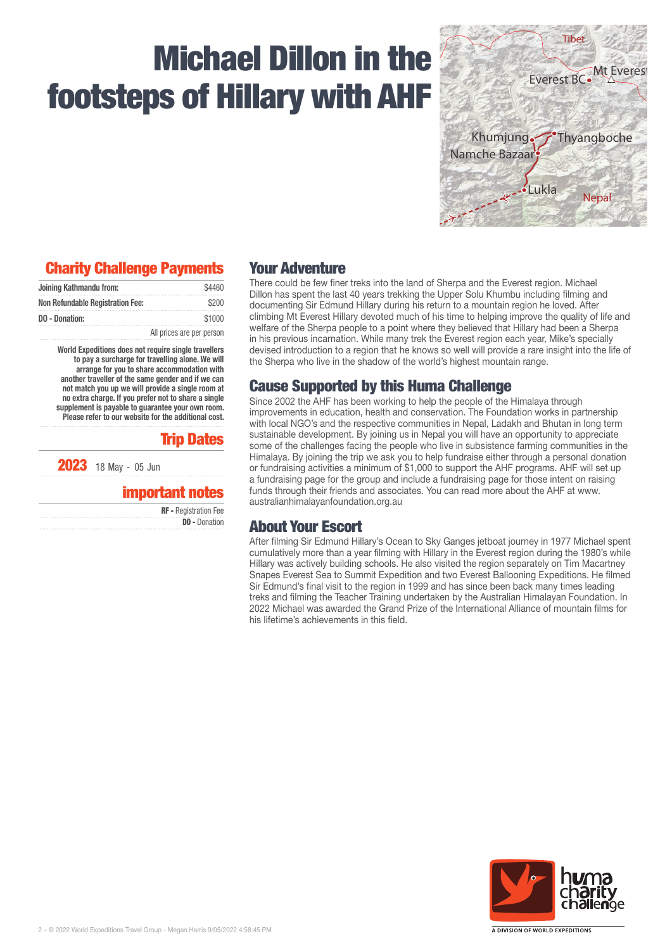

## Charity Challenge Payments

| Joining Kathmandu from:                 | \$4460                    |
|-----------------------------------------|---------------------------|
| <b>Non Refundable Registration Fee:</b> | \$200                     |
| DO - Donation:                          | \$1000                    |
|                                         | All prices are per person |

World Expeditions does not require single travellers to pay a surcharge for travelling alone. We will arrange for you to share accommodation with another traveller of the same gender and if we can not match you up we will provide a single room at no extra charge. If you prefer not to share a single supplement is payable to guarantee your own room. Please refer to our website for the additional cost.

### Trip Dates

2023 18 May - 05 Jun

### important notes

| <b>RF</b> - Registration Fee |
|------------------------------|
| <b>DO - Donation</b>         |

### Your Adventure

There could be few finer treks into the land of Sherpa and the Everest region. Michael Dillon has spent the last 40 years trekking the Upper Solu Khumbu including filming and documenting Sir Edmund Hillary during his return to a mountain region he loved. After climbing Mt Everest Hillary devoted much of his time to helping improve the quality of life and welfare of the Sherpa people to a point where they believed that Hillary had been a Sherpa in his previous incarnation. While many trek the Everest region each year, Mike's specially devised introduction to a region that he knows so well will provide a rare insight into the life of the Sherpa who live in the shadow of the world's highest mountain range.

## Cause Supported by this Huma Challenge

Since 2002 the AHF has been working to help the people of the Himalaya through improvements in education, health and conservation. The Foundation works in partnership with local NGO's and the respective communities in Nepal, Ladakh and Bhutan in long term sustainable development. By joining us in Nepal you will have an opportunity to appreciate some of the challenges facing the people who live in subsistence farming communities in the Himalaya. By joining the trip we ask you to help fundraise either through a personal donation or fundraising activities a minimum of \$1,000 to support the AHF programs. AHF will set up a fundraising page for the group and include a fundraising page for those intent on raising funds through their friends and associates. You can read more about the AHF at www. australianhimalayanfoundation.org.au

## About Your Escort

After filming Sir Edmund Hillary's Ocean to Sky Ganges jetboat journey in 1977 Michael spent cumulatively more than a year filming with Hillary in the Everest region during the 1980's while Hillary was actively building schools. He also visited the region separately on Tim Macartney Snapes Everest Sea to Summit Expedition and two Everest Ballooning Expeditions. He filmed Sir Edmund's final visit to the region in 1999 and has since been back many times leading treks and filming the Teacher Training undertaken by the Australian Himalayan Foundation. In 2022 Michael was awarded the Grand Prize of the International Alliance of mountain films for his lifetime's achievements in this field.

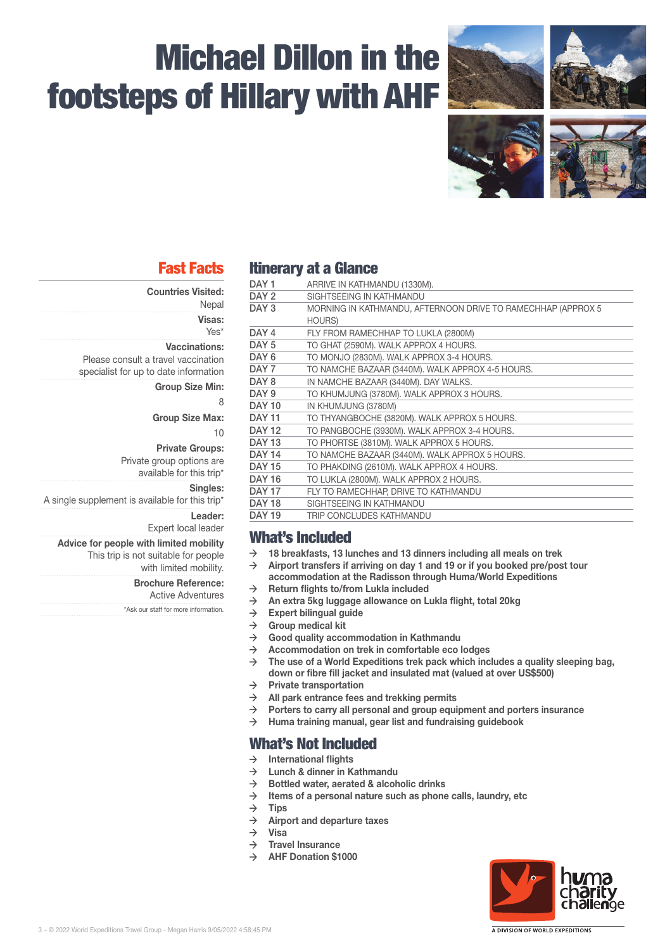

## Fast Facts

- Countries Visited:
	- **Nepal**

Visas:

Yes\*

Vaccinations: Please consult a travel vaccination specialist for up to date information

Group Size Min:

8

Group Size Max:

10

Private Groups:

Private group options are available for this trip\*

Singles:

A single supplement is available for this trip\*

Leader:

Expert local leader

Advice for people with limited mobility This trip is not suitable for people with limited mobility.

#### Brochure Reference:

Active Adventures \*Ask our staff for more information.

## Itinerary at a Glance

| DAY 1            | ARRIVE IN KATHMANDU (1330M).                                 |
|------------------|--------------------------------------------------------------|
| DAY <sub>2</sub> | SIGHTSEEING IN KATHMANDU                                     |
| DAY <sub>3</sub> | MORNING IN KATHMANDU, AFTERNOON DRIVE TO RAMECHHAP (APPROX 5 |
|                  | <b>HOURS)</b>                                                |
| DAY <sub>4</sub> | FLY FROM RAMECHHAP TO LUKLA (2800M)                          |
| DAY 5            | TO GHAT (2590M). WALK APPROX 4 HOURS.                        |
| DAY 6            | TO MONJO (2830M). WALK APPROX 3-4 HOURS.                     |
| DAY <sub>7</sub> | TO NAMCHE BAZAAR (3440M). WALK APPROX 4-5 HOURS.             |
| DAY <sub>8</sub> | IN NAMCHE BAZAAR (3440M). DAY WALKS.                         |
| DAY <sub>9</sub> | TO KHUMJUNG (3780M). WALK APPROX 3 HOURS.                    |
| <b>DAY 10</b>    | IN KHUMJUNG (3780M)                                          |
| <b>DAY 11</b>    | TO THYANGBOCHE (3820M). WALK APPROX 5 HOURS.                 |
| <b>DAY 12</b>    | TO PANGBOCHE (3930M). WALK APPROX 3-4 HOURS.                 |
| <b>DAY 13</b>    | TO PHORTSE (3810M). WALK APPROX 5 HOURS.                     |
| <b>DAY 14</b>    | TO NAMCHE BAZAAR (3440M). WALK APPROX 5 HOURS.               |
| <b>DAY 15</b>    | TO PHAKDING (2610M). WALK APPROX 4 HOURS.                    |
| <b>DAY 16</b>    | TO LUKLA (2800M). WALK APPROX 2 HOURS.                       |
| <b>DAY 17</b>    | FLY TO RAMECHHAP, DRIVE TO KATHMANDU                         |
| <b>DAY 18</b>    | SIGHTSEEING IN KATHMANDU                                     |
| <b>DAY 19</b>    | TRIP CONCLUDES KATHMANDU                                     |
|                  |                                                              |

## What's Included

- $\rightarrow$  18 breakfasts, 13 lunches and 13 dinners including all meals on trek
- $\rightarrow$  Airport transfers if arriving on day 1 and 19 or if you booked pre/post tour accommodation at the Radisson through Huma/World Expeditions
- $\rightarrow$  Return flights to/from Lukla included
- $\rightarrow$  An extra 5kg luggage allowance on Lukla flight, total 20kg
- $\rightarrow$  Expert bilingual guide<br>  $\rightarrow$  Group medical kit
- Group medical kit
- $\rightarrow$  Good quality accommodation in Kathmandu
- $\rightarrow$  Accommodation on trek in comfortable eco lodges
- $\rightarrow$  The use of a World Expeditions trek pack which includes a quality sleeping bag. down or fibre fill jacket and insulated mat (valued at over US\$500)
- $\rightarrow$  Private transportation
- $\rightarrow$  All park entrance fees and trekking permits
- $\rightarrow$  Porters to carry all personal and group equipment and porters insurance
- $\rightarrow$  Huma training manual, gear list and fundraising guidebook

## What's Not Included

- $\rightarrow$  International flights
- $\rightarrow$  Lunch & dinner in Kathmandu
- $\rightarrow$  Bottled water, aerated & alcoholic drinks<br>  $\rightarrow$  ltems of a personal nature such as phone
- Items of a personal nature such as phone calls, laundry, etc
- $\rightarrow$  Tips
- $\rightarrow$  Airport and departure taxes
- $\rightarrow$  Visa
- $\rightarrow$  Travel Insurance
- $\rightarrow$  AHF Donation \$1000

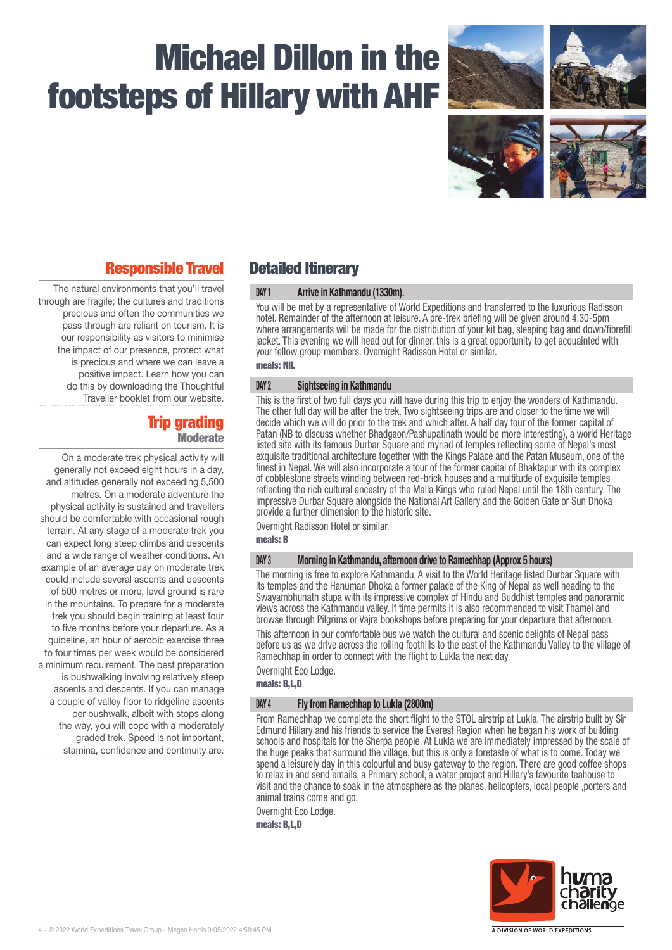

## Responsible Travel

The natural environments that you'll travel through are fragile; the cultures and traditions precious and often the communities we pass through are reliant on tourism. It is our responsibility as visitors to minimise the impact of our presence, protect what is precious and where we can leave a positive impact. Learn how you can do this by downloading the Thoughtful Traveller booklet from our website.

### Trip grading **Moderate**

On a moderate trek physical activity will generally not exceed eight hours in a day, and altitudes generally not exceeding 5,500 metres. On a moderate adventure the physical activity is sustained and travellers should be comfortable with occasional rough terrain. At any stage of a moderate trek you can expect long steep climbs and descents and a wide range of weather conditions. An example of an average day on moderate trek could include several ascents and descents of 500 metres or more, level ground is rare in the mountains. To prepare for a moderate trek you should begin training at least four to five months before your departure. As a guideline, an hour of aerobic exercise three to four times per week would be considered a minimum requirement. The best preparation is bushwalking involving relatively steep ascents and descents. If you can manage a couple of valley floor to ridgeline ascents per bushwalk, albeit with stops along the way, you will cope with a moderately graded trek. Speed is not important, stamina, confidence and continuity are.

## Detailed Itinerary

#### DAY 1 Arrive in Kathmandu (1330m).

You will be met by a representative of World Expeditions and transferred to the luxurious Radisson hotel. Remainder of the afternoon at leisure. A pre-trek briefing will be given around 4.30-5pm where arrangements will be made for the distribution of your kit bag, sleeping bag and down/fibrefill jacket. This evening we will head out for dinner, this is a great opportunity to get acquainted with your fellow group members. Overnight Radisson Hotel or similar. meals: NIL

### DAY 2 Sightseeing in Kathmandu

This is the first of two full days you will have during this trip to enjoy the wonders of Kathmandu. The other full day will be after the trek. Two sightseeing trips are and closer to the time we will decide which we will do prior to the trek and which after. A half day tour of the former capital of Patan (NB to discuss whether Bhadgaon/Pashupatinath would be more interesting), a world Heritage listed site with its famous Durbar Square and myriad of temples reflecting some of Nepal's most exquisite traditional architecture together with the Kings Palace and the Patan Museum, one of the finest in Nepal. We will also incorporate a tour of the former capital of Bhaktapur with its complex of cobblestone streets winding between red-brick houses and a multitude of exquisite temples reflecting the rich cultural ancestry of the Malla Kings who ruled Nepal until the 18th century. The impressive Durbar Square alongside the National Art Gallery and the Golden Gate or Sun Dhoka provide a further dimension to the historic site.

Overnight Radisson Hotel or similar.

meals: B

#### DAY 3 Morning in Kathmandu, afternoon drive to Ramechhap (Approx 5 hours)

The morning is free to explore Kathmandu. A visit to the World Heritage listed Durbar Square with its temples and the Hanuman Dhoka a former palace of the King of Nepal as well heading to the Swayambhunath stupa with its impressive complex of Hindu and Buddhist temples and panoramic views across the Kathmandu valley. If time permits it is also recommended to visit Thamel and browse through Pilgrims or Vajra bookshops before preparing for your departure that afternoon.

This afternoon in our comfortable bus we watch the cultural and scenic delights of Nepal pass before us as we drive across the rolling foothills to the east of the Kathmandu Valley to the village of Ramechhap in order to connect with the flight to Lukla the next day.

Overnight Eco Lodge.

meals: B,L,D

#### DAY 4 Fly from Ramechhap to Lukla (2800m)

From Ramechhap we complete the short flight to the STOL airstrip at Lukla. The airstrip built by Sir Edmund Hillary and his friends to service the Everest Region when he began his work of building schools and hospitals for the Sherpa people. At Lukla we are immediately impressed by the scale of the huge peaks that surround the village, but this is only a foretaste of what is to come. Today we spend a leisurely day in this colourful and busy gateway to the region. There are good coffee shops to relax in and send emails, a Primary school, a water project and Hillary's favourite teahouse to visit and the chance to soak in the atmosphere as the planes, helicopters, local people ,porters and animal trains come and go.

Overnight Eco Lodge.

meals: B,L,D

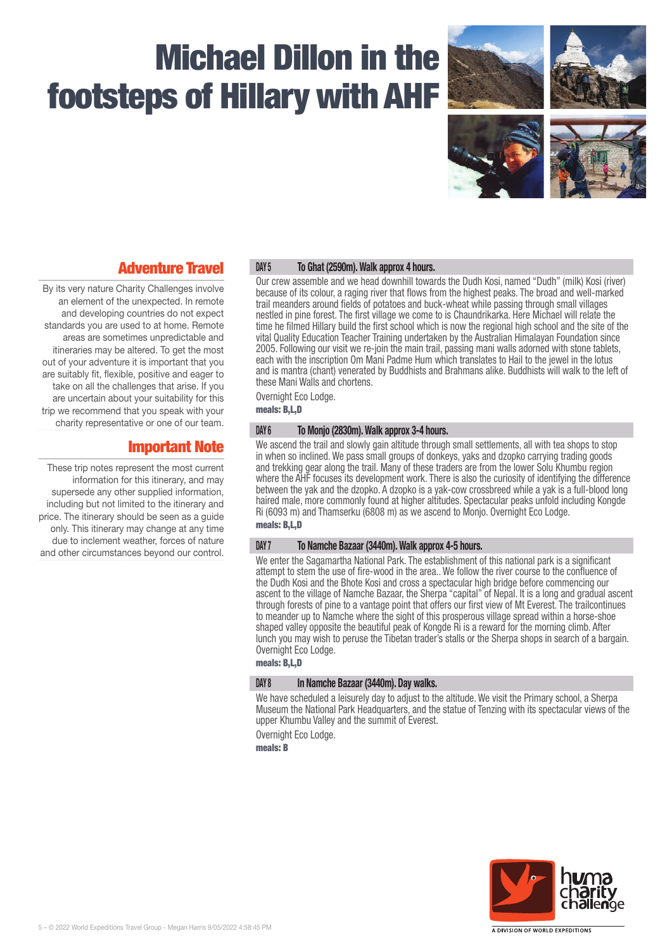

## Adventure Travel

By its very nature Charity Challenges involve an element of the unexpected. In remote and developing countries do not expect standards you are used to at home. Remote areas are sometimes unpredictable and itineraries may be altered. To get the most out of your adventure it is important that you are suitably fit, flexible, positive and eager to take on all the challenges that arise. If you are uncertain about your suitability for this trip we recommend that you speak with your charity representative or one of our team.

## Important Note

These trip notes represent the most current information for this itinerary, and may supersede any other supplied information, including but not limited to the itinerary and price. The itinerary should be seen as a guide only. This itinerary may change at any time due to inclement weather, forces of nature and other circumstances beyond our control.

### DAY 5 To Ghat (2590m). Walk approx 4 hours.

Our crew assemble and we head downhill towards the Dudh Kosi, named "Dudh" (milk) Kosi (river) because of its colour, a raging river that flows from the highest peaks. The broad and well-marked trail meanders around fields of potatoes and buck-wheat while passing through small villages nestled in pine forest. The first village we come to is Chaundrikarka. Here Michael will relate the time he filmed Hillary build the first school which is now the regional high school and the site of the vital Quality Education Teacher Training undertaken by the Australian Himalayan Foundation since 2005. Following our visit we re-join the main trail, passing mani walls adorned with stone tablets, each with the inscription Om Mani Padme Hum which translates to Hail to the jewel in the lotus and is mantra (chant) venerated by Buddhists and Brahmans alike. Buddhists will walk to the left of these Mani Walls and chortens.

Overnight Eco Lodge.

meals: B,L,D

#### DAY 6 To Monjo (2830m). Walk approx 3-4 hours.

We ascend the trail and slowly gain altitude through small settlements, all with tea shops to stop in when so inclined. We pass small groups of donkeys, yaks and dzopko carrying trading goods and trekking gear along the trail. Many of these traders are from the lower Solu Khumbu region where the AHF focuses its development work. There is also the curiosity of identifying the difference between the yak and the dzopko. A dzopko is a yak-cow crossbreed while a yak is a full-blood long haired male, more commonly found at higher altitudes. Spectacular peaks unfold including Kongde Ri (6093 m) and Thamserku (6808 m) as we ascend to Monjo. Overnight Eco Lodge.

### meals: B,L,D

#### DAY 7 To Namche Bazaar (3440m). Walk approx 4-5 hours.

We enter the Sagamartha National Park. The establishment of this national park is a significant attempt to stem the use of fire-wood in the area.. We follow the river course to the confluence of the Dudh Kosi and the Bhote Kosi and cross a spectacular high bridge before commencing our ascent to the village of Namche Bazaar, the Sherpa "capital" of Nepal. It is a long and gradual ascent through forests of pine to a vantage point that offers our first view of Mt Everest. The trailcontinues to meander up to Namche where the sight of this prosperous village spread within a horse-shoe shaped valley opposite the beautiful peak of Kongde Ri is a reward for the morning climb. After lunch you may wish to peruse the Tibetan trader's stalls or the Sherpa shops in search of a bargain. Overnight Eco Lodge.

### meals: B,L,D

#### DAY 8 In Namche Bazaar (3440m). Day walks.

We have scheduled a leisurely day to adjust to the altitude. We visit the Primary school, a Sherpa Museum the National Park Headquarters, and the statue of Tenzing with its spectacular views of the upper Khumbu Valley and the summit of Everest.

Overnight Eco Lodge.

meals: B

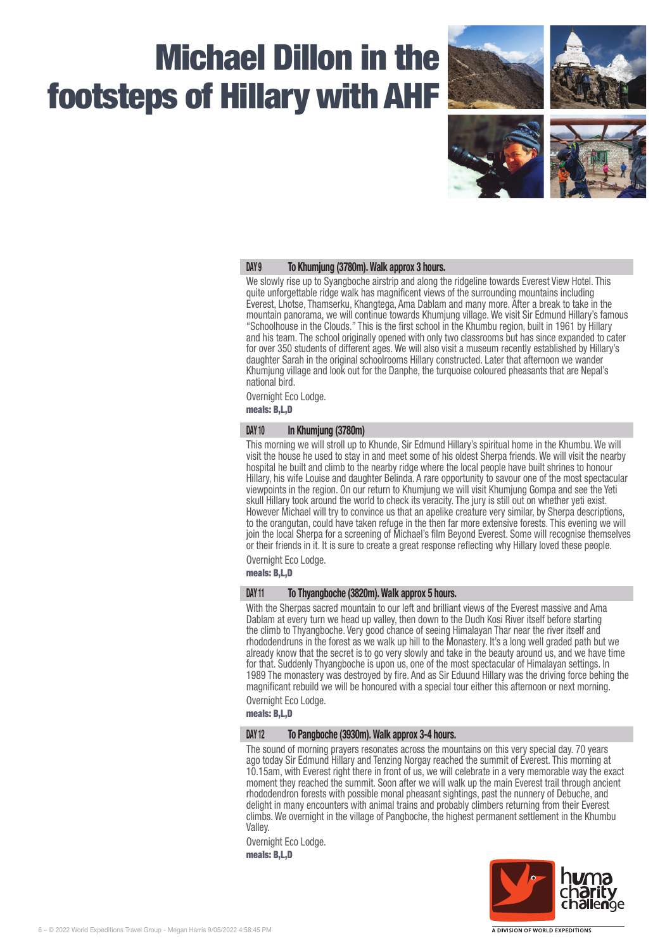

#### DAY 9 To Khumjung (3780m). Walk approx 3 hours.

We slowly rise up to Syangboche airstrip and along the ridgeline towards Everest View Hotel. This quite unforgettable ridge walk has magnificent views of the surrounding mountains including Everest, Lhotse, Thamserku, Khangtega, Ama Dablam and many more. After a break to take in the mountain panorama, we will continue towards Khumjung village. We visit Sir Edmund Hillary's famous "Schoolhouse in the Clouds." This is the first school in the Khumbu region, built in 1961 by Hillary and his team. The school originally opened with only two classrooms but has since expanded to cater for over 350 students of different ages. We will also visit a museum recently established by Hillary's daughter Sarah in the original schoolrooms Hillary constructed. Later that afternoon we wander Khumjung village and look out for the Danphe, the turquoise coloured pheasants that are Nepal's national bird.

Overnight Eco Lodge.

meals: B,L,D

#### DAY 10 In Khumjung (3780m)

This morning we will stroll up to Khunde, Sir Edmund Hillary's spiritual home in the Khumbu. We will visit the house he used to stay in and meet some of his oldest Sherpa friends. We will visit the nearby hospital he built and climb to the nearby ridge where the local people have built shrines to honour Hillary, his wife Louise and daughter Belinda. A rare opportunity to savour one of the most spectacular viewpoints in the region. On our return to Khumjung we will visit Khumjung Gompa and see the Yeti skull Hillary took around the world to check its veracity. The jury is still out on whether yeti exist. However Michael will try to convince us that an apelike creature very similar, by Sherpa descriptions, to the orangutan, could have taken refuge in the then far more extensive forests. This evening we will join the local Sherpa for a screening of Michael's film Beyond Everest. Some will recognise themselves or their friends in it. It is sure to create a great response reflecting why Hillary loved these people.

Overnight Eco Lodge.

meals: B,L,D

#### DAY 11 To Thyangboche (3820m). Walk approx 5 hours.

With the Sherpas sacred mountain to our left and brilliant views of the Everest massive and Ama Dablam at every turn we head up valley, then down to the Dudh Kosi River itself before starting the climb to Thyangboche. Very good chance of seeing Himalayan Thar near the river itself and rhododendruns in the forest as we walk up hill to the Monastery. It's a long well graded path but we already know that the secret is to go very slowly and take in the beauty around us, and we have time for that. Suddenly Thyangboche is upon us, one of the most spectacular of Himalayan settings. In 1989 The monastery was destroyed by fire. And as Sir Eduund Hillary was the driving force behing the magnificant rebuild we will be honoured with a special tour either this afternoon or next morning.

Overnight Eco Lodge.

meals: B,L,D

#### DAY 12 To Pangboche (3930m). Walk approx 3-4 hours.

The sound of morning prayers resonates across the mountains on this very special day. 70 years ago today Sir Edmund Hillary and Tenzing Norgay reached the summit of Everest. This morning at 10.15am, with Everest right there in front of us, we will celebrate in a very memorable way the exact moment they reached the summit. Soon after we will walk up the main Everest trail through ancient rhododendron forests with possible monal pheasant sightings, past the nunnery of Debuche, and delight in many encounters with animal trains and probably climbers returning from their Everest climbs. We overnight in the village of Pangboche, the highest permanent settlement in the Khumbu Valley.

Overnight Eco Lodge. meals: B,L,D

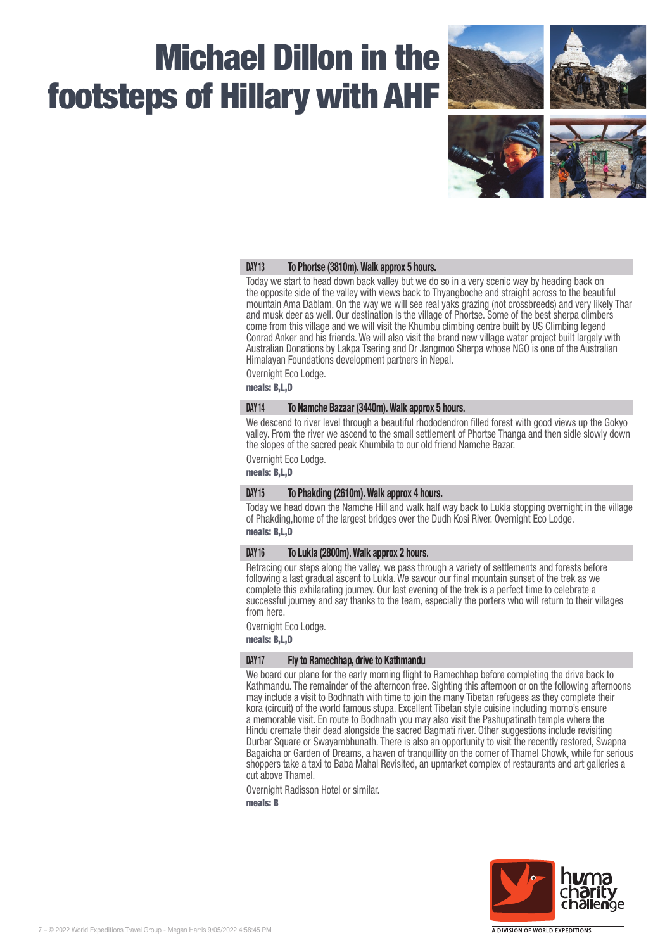

#### DAY 13 To Phortse (3810m). Walk approx 5 hours.

Today we start to head down back valley but we do so in a very scenic way by heading back on the opposite side of the valley with views back to Thyangboche and straight across to the beautiful mountain Ama Dablam. On the way we will see real yaks grazing (not crossbreeds) and very likely Thar and musk deer as well. Our destination is the village of Phortse. Some of the best sherpa climbers come from this village and we will visit the Khumbu climbing centre built by US Climbing legend Conrad Anker and his friends. We will also visit the brand new village water project built largely with Australian Donations by Lakpa Tsering and Dr Jangmoo Sherpa whose NGO is one of the Australian Himalayan Foundations development partners in Nepal.

Overnight Eco Lodge.

meals: B,L,D

#### DAY 14 To Namche Bazaar (3440m). Walk approx 5 hours.

We descend to river level through a beautiful rhododendron filled forest with good views up the Gokyo valley. From the river we ascend to the small settlement of Phortse Thanga and then sidle slowly down the slopes of the sacred peak Khumbila to our old friend Namche Bazar.

Overnight Eco Lodge.

meals: B,L,D

#### DAY 15 To Phakding (2610m). Walk approx 4 hours.

Today we head down the Namche Hill and walk half way back to Lukla stopping overnight in the village of Phakding,home of the largest bridges over the Dudh Kosi River. Overnight Eco Lodge. meals: B,L,D

#### DAY 16 To Lukla (2800m). Walk approx 2 hours.

Retracing our steps along the valley, we pass through a variety of settlements and forests before following a last gradual ascent to Lukla. We savour our final mountain sunset of the trek as we complete this exhilarating journey. Our last evening of the trek is a perfect time to celebrate a successful journey and say thanks to the team, especially the porters who will return to their villages from here.

Overnight Eco Lodge.

meals: B,L,D

#### DAY 17 Fly to Ramechhap, drive to Kathmandu

We board our plane for the early morning flight to Ramechhap before completing the drive back to Kathmandu. The remainder of the afternoon free. Sighting this afternoon or on the following afternoons may include a visit to Bodhnath with time to join the many Tibetan refugees as they complete their kora (circuit) of the world famous stupa. Excellent Tibetan style cuisine including momo's ensure a memorable visit. En route to Bodhnath you may also visit the Pashupatinath temple where the Hindu cremate their dead alongside the sacred Bagmati river. Other suggestions include revisiting Durbar Square or Swayambhunath. There is also an opportunity to visit the recently restored, Swapna Bagaicha or Garden of Dreams, a haven of tranquillity on the corner of Thamel Chowk, while for serious shoppers take a taxi to Baba Mahal Revisited, an upmarket complex of restaurants and art galleries a cut above Thamel.

Overnight Radisson Hotel or similar.

meals: B

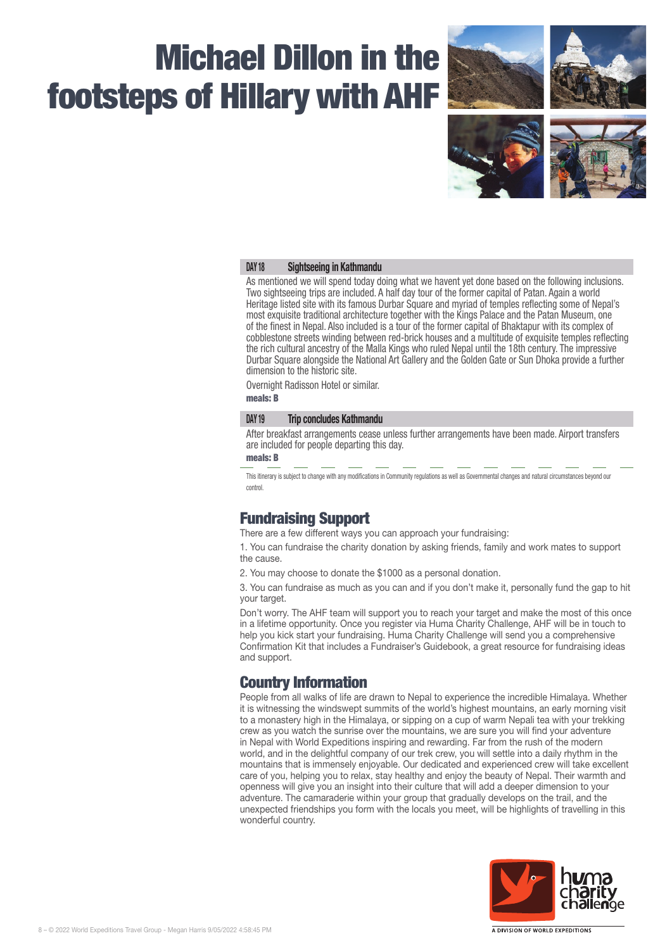

#### DAY 18 Sightseeing in Kathmandu

As mentioned we will spend today doing what we havent yet done based on the following inclusions. Two sightseeing trips are included. A half day tour of the former capital of Patan. Again a world Heritage listed site with its famous Durbar Square and myriad of temples reflecting some of Nepal's most exquisite traditional architecture together with the Kings Palace and the Patan Museum, one of the finest in Nepal. Also included is a tour of the former capital of Bhaktapur with its complex of cobblestone streets winding between red-brick houses and a multitude of exquisite temples reflecting the rich cultural ancestry of the Malla Kings who ruled Nepal until the 18th century. The impressive Durbar Square alongside the National Art Gallery and the Golden Gate or Sun Dhoka provide a further dimension to the historic site.

Overnight Radisson Hotel or similar.

meals: B

#### DAY 19 Trip concludes Kathmandu

After breakfast arrangements cease unless further arrangements have been made. Airport transfers are included for people departing this day.

#### meals: B

This itinerary is subject to change with any modifications in Community regulations as well as Governmental changes and natural circumstances beyond our control.

### Fundraising Support

There are a few different ways you can approach your fundraising:

1. You can fundraise the charity donation by asking friends, family and work mates to support the cause.

2. You may choose to donate the \$1000 as a personal donation.

3. You can fundraise as much as you can and if you don't make it, personally fund the gap to hit your target.

Don't worry. The AHF team will support you to reach your target and make the most of this once in a lifetime opportunity. Once you register via Huma Charity Challenge, AHF will be in touch to help you kick start your fundraising. Huma Charity Challenge will send you a comprehensive Confirmation Kit that includes a Fundraiser's Guidebook, a great resource for fundraising ideas and support.

## Country Information

People from all walks of life are drawn to Nepal to experience the incredible Himalaya. Whether it is witnessing the windswept summits of the world's highest mountains, an early morning visit to a monastery high in the Himalaya, or sipping on a cup of warm Nepali tea with your trekking crew as you watch the sunrise over the mountains, we are sure you will find your adventure in Nepal with World Expeditions inspiring and rewarding. Far from the rush of the modern world, and in the delightful company of our trek crew, you will settle into a daily rhythm in the mountains that is immensely enjoyable. Our dedicated and experienced crew will take excellent care of you, helping you to relax, stay healthy and enjoy the beauty of Nepal. Their warmth and openness will give you an insight into their culture that will add a deeper dimension to your adventure. The camaraderie within your group that gradually develops on the trail, and the unexpected friendships you form with the locals you meet, will be highlights of travelling in this wonderful country.

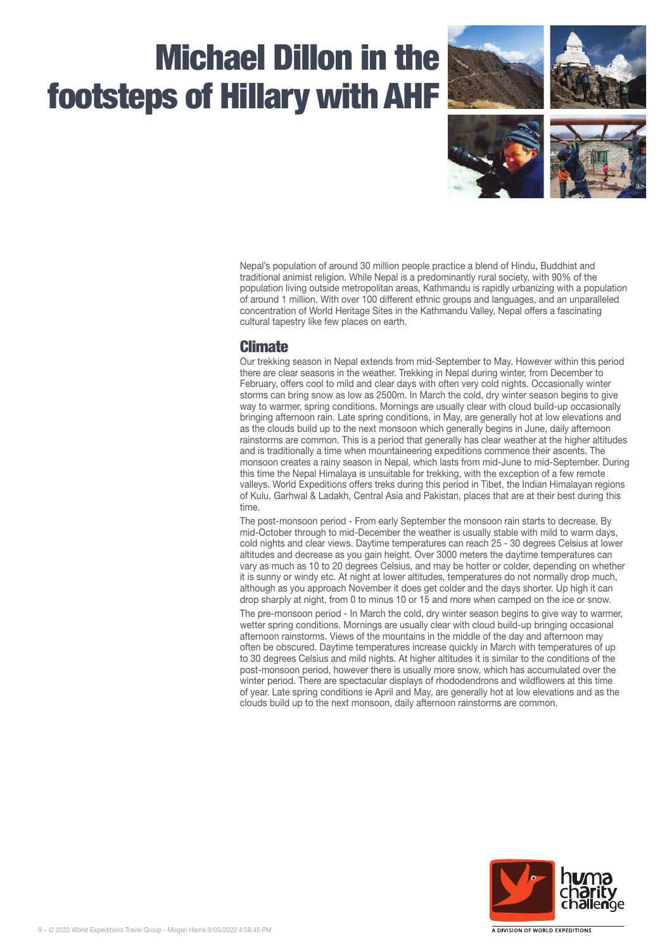

Nepal's population of around 30 million people practice a blend of Hindu, Buddhist and traditional animist religion. While Nepal is a predominantly rural society, with 90% of the population living outside metropolitan areas, Kathmandu is rapidly urbanizing with a population of around 1 million. With over 100 different ethnic groups and languages, and an unparalleled concentration of World Heritage Sites in the Kathmandu Valley, Nepal offers a fascinating cultural tapestry like few places on earth.

## Climate

Our trekking season in Nepal extends from mid‑September to May. However within this period there are clear seasons in the weather. Trekking in Nepal during winter, from December to February, offers cool to mild and clear days with often very cold nights. Occasionally winter storms can bring snow as low as 2500m. In March the cold, dry winter season begins to give way to warmer, spring conditions. Mornings are usually clear with cloud build-up occasionally bringing afternoon rain. Late spring conditions, in May, are generally hot at low elevations and as the clouds build up to the next monsoon which generally begins in June, daily afternoon rainstorms are common. This is a period that generally has clear weather at the higher altitudes and is traditionally a time when mountaineering expeditions commence their ascents. The monsoon creates a rainy season in Nepal, which lasts from mid‑June to mid‑September. During this time the Nepal Himalaya is unsuitable for trekking, with the exception of a few remote valleys. World Expeditions offers treks during this period in Tibet, the Indian Himalayan regions of Kulu, Garhwal & Ladakh, Central Asia and Pakistan, places that are at their best during this time.

The post-monsoon period - From early September the monsoon rain starts to decrease. By mid‑October through to mid‑December the weather is usually stable with mild to warm days, cold nights and clear views. Daytime temperatures can reach 25 ‑ 30 degrees Celsius at lower altitudes and decrease as you gain height. Over 3000 meters the daytime temperatures can vary as much as 10 to 20 degrees Celsius, and may be hotter or colder, depending on whether it is sunny or windy etc. At night at lower altitudes, temperatures do not normally drop much, although as you approach November it does get colder and the days shorter. Up high it can drop sharply at night, from 0 to minus 10 or 15 and more when camped on the ice or snow.

The pre-monsoon period - In March the cold, dry winter season begins to give way to warmer, wetter spring conditions. Mornings are usually clear with cloud build-up bringing occasional afternoon rainstorms. Views of the mountains in the middle of the day and afternoon may often be obscured. Daytime temperatures increase quickly in March with temperatures of up to 30 degrees Celsius and mild nights. At higher altitudes it is similar to the conditions of the post-monsoon period, however there is usually more snow, which has accumulated over the winter period. There are spectacular displays of rhododendrons and wildflowers at this time of year. Late spring conditions ie April and May, are generally hot at low elevations and as the clouds build up to the next monsoon, daily afternoon rainstorms are common.



A DIVISION OF WORLD EXPEDITIONS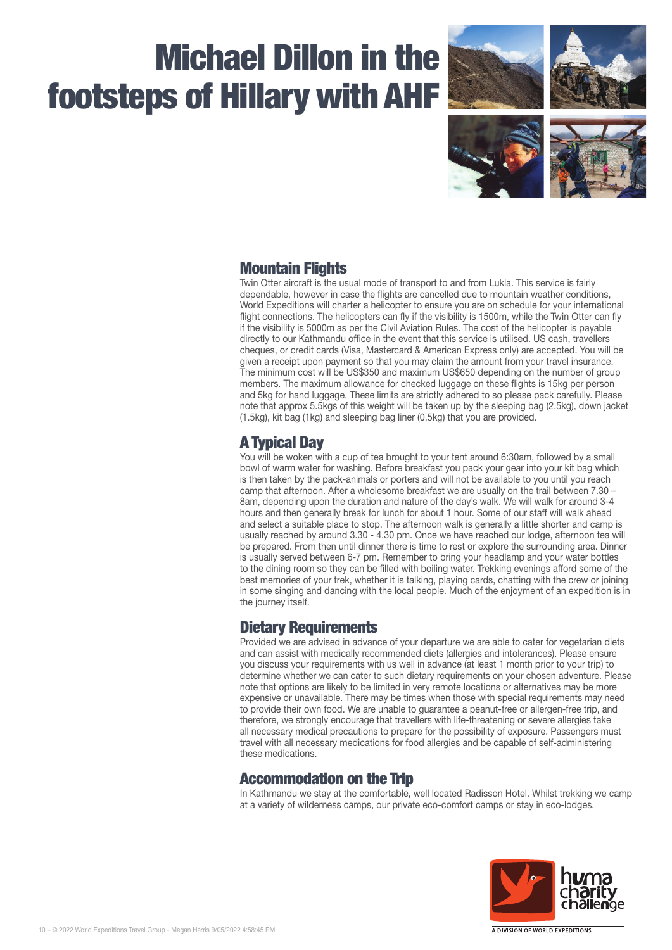

## Mountain Flights

Twin Otter aircraft is the usual mode of transport to and from Lukla. This service is fairly dependable, however in case the flights are cancelled due to mountain weather conditions, World Expeditions will charter a helicopter to ensure you are on schedule for your international flight connections. The helicopters can fly if the visibility is 1500m, while the Twin Otter can fly if the visibility is 5000m as per the Civil Aviation Rules. The cost of the helicopter is payable directly to our Kathmandu office in the event that this service is utilised. US cash, travellers cheques, or credit cards (Visa, Mastercard & American Express only) are accepted. You will be given a receipt upon payment so that you may claim the amount from your travel insurance. The minimum cost will be US\$350 and maximum US\$650 depending on the number of group members. The maximum allowance for checked luggage on these flights is 15kg per person and 5kg for hand luggage. These limits are strictly adhered to so please pack carefully. Please note that approx 5.5kgs of this weight will be taken up by the sleeping bag (2.5kg), down jacket (1.5kg), kit bag (1kg) and sleeping bag liner (0.5kg) that you are provided.

## A Typical Day

You will be woken with a cup of tea brought to your tent around 6:30am, followed by a small bowl of warm water for washing. Before breakfast you pack your gear into your kit bag which is then taken by the pack-animals or porters and will not be available to you until you reach camp that afternoon. After a wholesome breakfast we are usually on the trail between 7.30 – 8am, depending upon the duration and nature of the day's walk. We will walk for around 3-4 hours and then generally break for lunch for about 1 hour. Some of our staff will walk ahead and select a suitable place to stop. The afternoon walk is generally a little shorter and camp is usually reached by around 3.30 ‑ 4.30 pm. Once we have reached our lodge, afternoon tea will be prepared. From then until dinner there is time to rest or explore the surrounding area. Dinner is usually served between 6-7 pm. Remember to bring your headlamp and your water bottles to the dining room so they can be filled with boiling water. Trekking evenings afford some of the best memories of your trek, whether it is talking, playing cards, chatting with the crew or joining in some singing and dancing with the local people. Much of the enjoyment of an expedition is in the journey itself.

## Dietary Requirements

Provided we are advised in advance of your departure we are able to cater for vegetarian diets and can assist with medically recommended diets (allergies and intolerances). Please ensure you discuss your requirements with us well in advance (at least 1 month prior to your trip) to determine whether we can cater to such dietary requirements on your chosen adventure. Please note that options are likely to be limited in very remote locations or alternatives may be more expensive or unavailable. There may be times when those with special requirements may need to provide their own food. We are unable to guarantee a peanut-free or allergen-free trip, and therefore, we strongly encourage that travellers with life-threatening or severe allergies take all necessary medical precautions to prepare for the possibility of exposure. Passengers must travel with all necessary medications for food allergies and be capable of self-administering these medications.

## Accommodation on the Trip

In Kathmandu we stay at the comfortable, well located Radisson Hotel. Whilst trekking we camp at a variety of wilderness camps, our private eco-comfort camps or stay in eco-lodges.

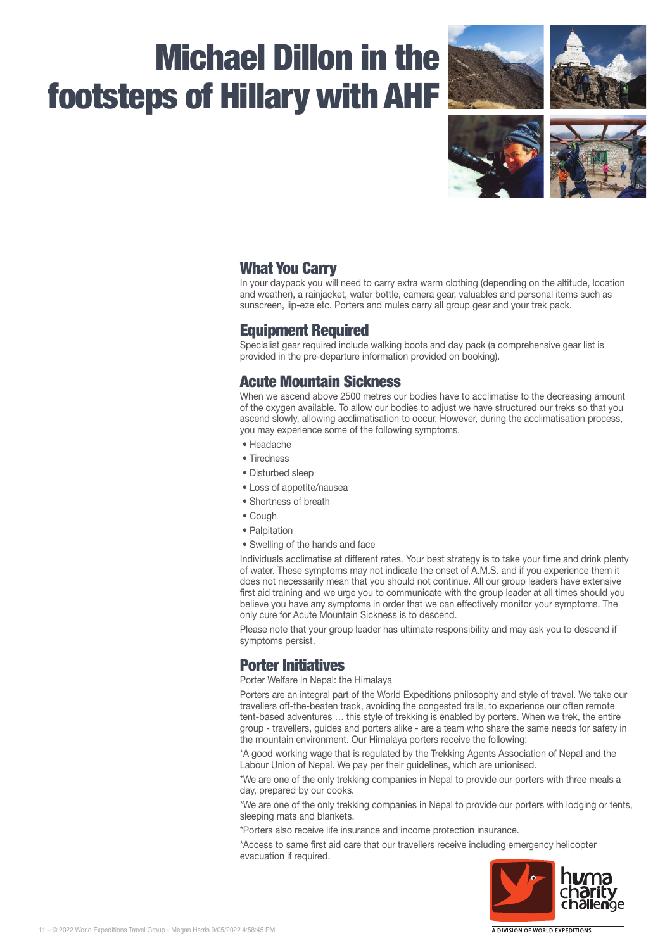

## What You Carry

In your daypack you will need to carry extra warm clothing (depending on the altitude, location and weather), a rainjacket, water bottle, camera gear, valuables and personal items such as sunscreen, lip-eze etc. Porters and mules carry all group gear and your trek pack.

## Equipment Required

Specialist gear required include walking boots and day pack (a comprehensive gear list is provided in the pre‑departure information provided on booking).

## Acute Mountain Sickness

When we ascend above 2500 metres our bodies have to acclimatise to the decreasing amount of the oxygen available. To allow our bodies to adjust we have structured our treks so that you ascend slowly, allowing acclimatisation to occur. However, during the acclimatisation process, you may experience some of the following symptoms.

- Headache
- Tiredness
- Disturbed sleep
- Loss of appetite/nausea
- Shortness of breath
- Cough
- Palpitation
- Swelling of the hands and face

Individuals acclimatise at different rates. Your best strategy is to take your time and drink plenty of water. These symptoms may not indicate the onset of A.M.S. and if you experience them it does not necessarily mean that you should not continue. All our group leaders have extensive first aid training and we urge you to communicate with the group leader at all times should you believe you have any symptoms in order that we can effectively monitor your symptoms. The only cure for Acute Mountain Sickness is to descend.

Please note that your group leader has ultimate responsibility and may ask you to descend if symptoms persist.

## Porter Initiatives

Porter Welfare in Nepal: the Himalaya

Porters are an integral part of the World Expeditions philosophy and style of travel. We take our travellers off-the-beaten track, avoiding the congested trails, to experience our often remote tent-based adventures ... this style of trekking is enabled by porters. When we trek, the entire group ‑ travellers, guides and porters alike ‑ are a team who share the same needs for safety in the mountain environment. Our Himalaya porters receive the following:

\*A good working wage that is regulated by the Trekking Agents Association of Nepal and the Labour Union of Nepal. We pay per their guidelines, which are unionised.

\*We are one of the only trekking companies in Nepal to provide our porters with three meals a day, prepared by our cooks.

\*We are one of the only trekking companies in Nepal to provide our porters with lodging or tents, sleeping mats and blankets.

\*Porters also receive life insurance and income protection insurance.

\*Access to same first aid care that our travellers receive including emergency helicopter evacuation if required.